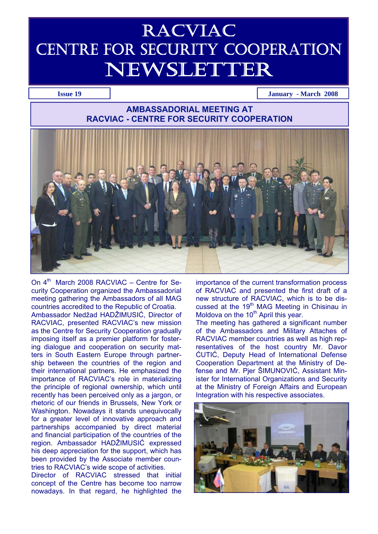# RACVIAC CENTRE FOR SECURITY COOPERATION NEWSLETTER

**Issue 19 January - March 2008** 

# **AMBASSADORIAL MEETING AT RACVIAC - CENTRE FOR SECURITY COOPERATION**



On  $4^{\text{th}}$  March 2008 RACVIAC – Centre for Security Cooperation organized the Ambassadorial meeting gathering the Ambassadors of all MAG countries accredited to the Republic of Croatia. Ambassador Nedžad HADŽIMUSIĆ, Director of RACVIAC, presented RACVIAC's new mission as the Centre for Security Cooperation gradually imposing itself as a premier platform for fostering dialogue and cooperation on security matters in South Eastern Europe through partnership between the countries of the region and their international partners. He emphasized the importance of RACVIAC's role in materializing the principle of regional ownership, which until recently has been perceived only as a jargon, or rhetoric of our friends in Brussels, New York or Washington. Nowadays it stands unequivocally for a greater level of innovative approach and partnerships accompanied by direct material and financial participation of the countries of the region. Ambassador HADŽIMUSIĆ expressed his deep appreciation for the support, which has been provided by the Associate member countries to RACVIAC's wide scope of activities.

Director of RACVIAC stressed that initial concept of the Centre has become too narrow nowadays. In that regard, he highlighted the importance of the current transformation process of RACVIAC and presented the first draft of a new structure of RACVIAC, which is to be discussed at the 19th MAG Meeting in Chisinau in Moldova on the 10<sup>th</sup> April this year.

The meeting has gathered a significant number of the Ambassadors and Military Attaches of RACVIAC member countries as well as high representatives of the host country Mr. Davor ĆUTIĆ, Deputy Head of International Defense Cooperation Department at the Ministry of Defense and Mr. Pjer ŠIMUNOVIĆ, Assistant Minister for International Organizations and Security at the Ministry of Foreign Affairs and European Integration with his respective associates.

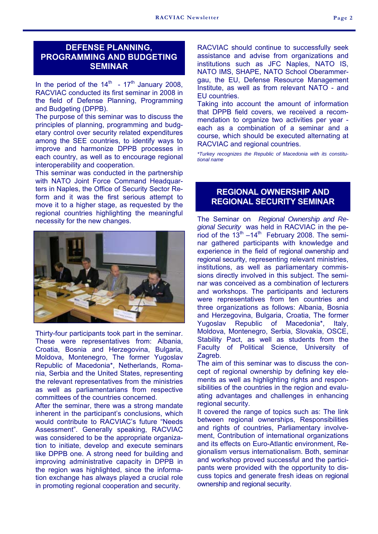# **DEFENSE PLANNING, PROGRAMMING AND BUDGETING SEMINAR**

In the period of the  $14<sup>th</sup>$  -  $17<sup>th</sup>$  January 2008. RACVIAC conducted its first seminar in 2008 in the field of Defense Planning, Programming and Budgeting (DPPB).

The purpose of this seminar was to discuss the principles of planning, programming and budgetary control over security related expenditures among the SEE countries, to identify ways to improve and harmonize DPPB processes in each country, as well as to encourage regional interoperability and cooperation.

This seminar was conducted in the partnership with NATO Joint Force Command Headquarters in Naples, the Office of Security Sector Reform and it was the first serious attempt to move it to a higher stage, as requested by the regional countries highlighting the meaningful necessity for the new changes.



Thirty-four participants took part in the seminar. These were representatives from: Albania, Croatia, Bosnia and Herzegovina, Bulgaria, Moldova, Montenegro, The former Yugoslav Republic of Macedonia\*, Netherlands, Romania, Serbia and the United States, representing the relevant representatives from the ministries as well as parliamentarians from respective committees of the countries concerned.

After the seminar, there was a strong mandate inherent in the participant's conclusions, which would contribute to RACVIAC's future "Needs Assessment". Generally speaking, RACVIAC was considered to be the appropriate organization to initiate, develop and execute seminars like DPPB one. A strong need for building and improving administrative capacity in DPPB in the region was highlighted, since the information exchange has always played a crucial role in promoting regional cooperation and security.

RACVIAC should continue to successfully seek assistance and advise from organizations and institutions such as JFC Naples, NATO IS, NATO IMS, SHAPE, NATO School Oberammergau, the EU, Defense Resource Management Institute, as well as from relevant NATO - and EU countries.

Taking into account the amount of information that DPPB field covers, we received a recommendation to organize two activities per year each as a combination of a seminar and a course, which should be executed alternating at RACVIAC and regional countries.

*\*Turkey recognizes the Republic of Macedonia with its constitutional name* 

# **REGIONAL OWNERSHIP AND REGIONAL SECURITY SEMINAR**

The Seminar on *Regional Ownership and Regional Security* was held in RACVIAC in the period of the  $13<sup>th</sup> - 14<sup>th</sup>$  February 2008. The seminar gathered participants with knowledge and experience in the field of regional ownership and regional security, representing relevant ministries, institutions, as well as parliamentary commissions directly involved in this subject. The seminar was conceived as a combination of lecturers and workshops. The participants and lecturers were representatives from ten countries and three organizations as follows: Albania, Bosnia and Herzegovina, Bulgaria, Croatia, The former Yugoslav Republic of Macedonia\*, Italy, Moldova, Montenegro, Serbia, Slovakia, OSCE, Stability Pact, as well as students from the Faculty of Political Science, University of Zagreb.

The aim of this seminar was to discuss the concept of regional ownership by defining key elements as well as highlighting rights and responsibilities of the countries in the region and evaluating advantages and challenges in enhancing regional security.

It covered the range of topics such as: The link between regional ownerships, Responsibilities and rights of countries, Parliamentary involvement, Contribution of international organizations and its effects on Euro-Atlantic environment, Regionalism versus internationalism. Both, seminar and workshop proved successful and the participants were provided with the opportunity to discuss topics and generate fresh ideas on regional ownership and regional security.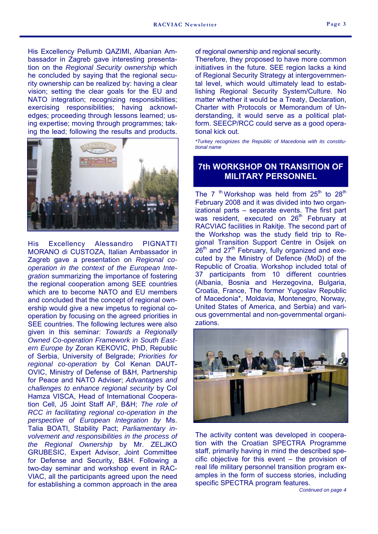His Excellency Pellumb QAZIMI, Albanian Ambassador in Zagreb gave interesting presentation on the *Regional Security ownership* which he concluded by saying that the regional security ownership can be realized by: having a clear vision; setting the clear goals for the EU and NATO integration; recognizing responsibilities; exercising responsibilities; having acknowledges; proceeding through lessons learned; using expertise; moving through programmes; taking the lead; following the results and products.



His Excellency Alessandro PIGNATTI MORANO di CUSTOZA, Italian Ambassador in Zagreb gave a presentation on *Regional cooperation in the context of the European Integration* summarizing the importance of fostering the regional cooperation among SEE countries which are to become NATO and EU members and concluded that the concept of regional ownership would give a new impetus to regional cooperation by focusing on the agreed priorities in SEE countries. The following lectures were also given in this seminar: *Towards a Regionally Owned Co-operation Framework in South Eastern Europe by* Zoran KEKOVIC, PhD, Republic of Serbia, University of Belgrade; *Priorities for regional co-operation* by Col Kenan DAUT-OVIC, Ministry of Defense of B&H, Partnership for Peace and NATO Adviser; *Advantages and challenges to enhance regional security* by Col Hamza VISCA, Head of International Cooperation Cell, J5 Joint Staff AF, B&H; *The role of RCC in facilitating regional co-operation in the perspective of European Integration by* Ms. Talia BOATI, Stability Pact; *Parliamentary involvement and responsibilities in the process of the Regional Ownership* by Mr. ZELJKO GRUBESIC, Expert Advisor, Joint Committee for Defense and Security, B&H. Following a two-day seminar and workshop event in RAC-VIAC, all the participants agreed upon the need for establishing a common approach in the area

of regional ownership and regional security.

Therefore, they proposed to have more common initiatives in the future. SEE region lacks a kind of Regional Security Strategy at intergovernmental level, which would ultimately lead to establishing Regional Security System/Culture. No matter whether it would be a Treaty, Declaration, Charter with Protocols or Memorandum of Understanding, it would serve as a political platform. SEECP/RCC could serve as a good operational kick out.

*\*Turkey recognizes the Republic of Macedonia with its constitutional name* 

# **7th WORKSHOP ON TRANSITION OF MILITARY PERSONNEL**

The 7<sup>th</sup> Workshop was held from  $25<sup>th</sup>$  to  $28<sup>th</sup>$ February 2008 and it was divided into two organizational parts – separate events. The first part was resident, executed on 26<sup>th</sup> February at RACVIAC facilities in Rakitje. The second part of the Workshop was the study field trip to Regional Transition Support Centre in Osijek on  $26<sup>th</sup>$  and  $27<sup>th</sup>$  February, fully organized and executed by the Ministry of Defence (MoD) of the Republic of Croatia. Workshop included total of 37 participants from 10 different countries (Albania, Bosnia and Herzegovina, Bulgaria, Croatia, France, The former Yugoslav Republic of Macedonia\*, Moldavia, Montenegro, Norway, United States of America, and Serbia) and various governmental and non-governmental organizations.



The activity content was developed in cooperation with the Croatian SPECTRA Programme staff, primarily having in mind the described specific objective for this event – the provision of real life military personnel transition program examples in the form of success stories, including specific SPECTRA program features.

*Continued on page 4*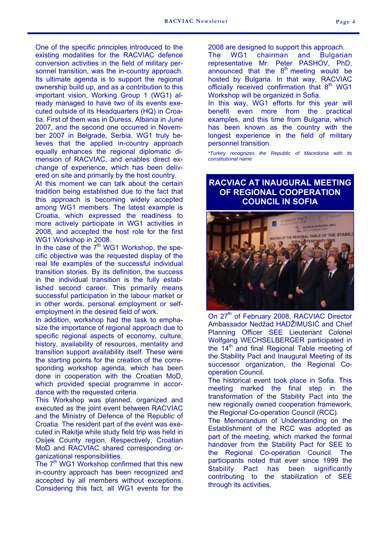One of the specific principles introduced to the existing modalities for the RACVIAC defence conversion activities in the field of military personnel transition, was the in-country approach. Its ultimate agenda is to support the regional ownership build up, and as a contribution to this important vision, Working Group 1 (WG1) already managed to have two of its events executed outside of its Headquarters (HQ) in Croatia. First of them was in Duress, Albania in June 2007, and the second one occurred in November 2007 in Belgrade, Serbia. WG1 truly believes that the applied in-country approach equally enhances the regional diplomatic dimension of RACVIAC, and enables direct exchange of experience, which has been delivered on site and primarily by the host country.

At this moment we can talk about the certain tradition being established due to the fact that this approach is becoming widely accepted among WG1 members. The latest example is Croatia, which expressed the readiness to more actively participate in WG1 activities in 2008, and accepted the host role for the first WG1 Workshop in 2008.

In the case of the  $7<sup>th</sup>$  WG1 Workshop, the specific objective was the requested display of the real life examples of the successful individual transition stories. By its definition, the success in the individual transition is the fully established second career. This primarily means successful participation in the labour market or in other words, personal employment or selfemployment in the desired field of work.

In addition, workshop had the task to emphasize the importance of regional approach due to specific regional aspects of economy, culture, history, availability of resources, mentality and transition support availability itself. These were the starting points for the creation of the corresponding workshop agenda, which has been done in cooperation with the Croatian MoD, which provided special programme in accordance with the requested criteria.

This Workshop was planned, organized and executed as the joint event between RACVIAC and the Ministry of Defence of the Republic of Croatia. The resident part of the event was executed in Rakitje while study field trip was held in Osijek County region. Respectively, Croatian MoD and RACVIAC shared corresponding organizational responsibilities.

The  $7<sup>th</sup>$  WG1 Workshop confirmed that this new in-country approach has been recognized and accepted by all members without exceptions. Considering this fact, all WG1 events for the 2008 are designed to support this approach.

The WG1 chairman and Bulgarian representative Mr. Peter PASHOV, PhD, announced that the  $8<sup>th</sup>$  meeting would be hosted by Bulgaria. In that way, RACVIAC officially received confirmation that  $8<sup>th</sup>$  WG1 Workshop will be organized in Sofia.

In this way, WG1 efforts for this year will benefit even more from the practical examples, and this time from Bulgaria, which has been known as the country with the longest experience in the field of military personnel transition.

*\*Turkey recognizes the Republic of Macedonia with its constitutional name* 

## **RACVIAC AT INAUGURAL MEETING OF REGIONAL COOPERATION COUNCIL IN SOFIA**



On 27<sup>th</sup> of February 2008, RACVIAC Director Ambassador Nedžad HADŽIMUSIĆ and Chief Planning Officer SEE Lieutenant Colonel Wolfgang WECHSELBERGER participated in the 14<sup>th</sup> and final Regional Table meeting of the Stability Pact and Inaugural Meeting of its successor organization, the Regional Cooperation Council.

The historical event took place in Sofia. This meeting marked the final step in the transformation of the Stability Pact into the new regionally owned cooperation framework, the Regional Co-operation Council (RCC).

The Memorandum of Understanding on the Establishment of the RCC was adopted as part of the meeting, which marked the formal handover from the Stability Pact for SEE to the Regional Co-operation Council. The participants noted that ever since 1999 the Stability Pact has been significantly contributing to the stabilization of SEE through its activities.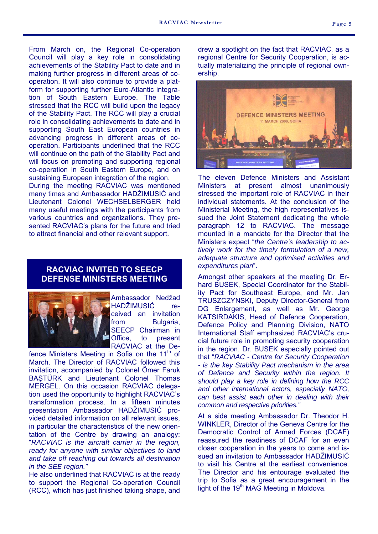From March on, the Regional Co-operation Council will play a key role in consolidating achievements of the Stability Pact to date and in making further progress in different areas of cooperation. It will also continue to provide a platform for supporting further Euro-Atlantic integration of South Eastern Europe. The Table stressed that the RCC will build upon the legacy of the Stability Pact. The RCC will play a crucial role in consolidating achievements to date and in supporting South East European countries in advancing progress in different areas of cooperation. Participants underlined that the RCC will continue on the path of the Stability Pact and

will focus on promoting and supporting regional co-operation in South Eastern Europe, and on sustaining European integration of the region. During the meeting RACVIAC was mentioned many times and Ambassador HADŽIMUSIĆ and Lieutenant Colonel WECHSELBERGER held many useful meetings with the participants from various countries and organizations. They presented RACVIAC's plans for the future and tried to attract financial and other relevant support.

#### **RACVIAC INVITED TO SEECP DEFENSE MINISTERS MEETING**



Ambassador Nedžad HADŽIMUSIĆ received an invitation from Bulgaria. SEECP Chairman in Office, to present RACVIAC at the De-

fence Ministers Meeting in Sofia on the  $11<sup>m</sup>$  of March. The Director of RACVIAC followed this invitation, accompanied by Colonel Ömer Faruk BAŞTÜRK and Lieutenant Colonel Thomas MERGEL. On this occasion RACVIAC delegation used the opportunity to highlight RACVIAC's transformation process. In a fifteen minutes presentation Ambassador HADŽIMUSIĆ provided detailed information on all relevant issues, in particular the characteristics of the new orientation of the Centre by drawing an analogy: "*RACVIAC is the aircraft carrier in the region, ready for anyone with similar objectives to land and take off reaching out towards all destination in the SEE region."*

He also underlined that RACVIAC is at the ready to support the Regional Co-operation Council (RCC), which has just finished taking shape, and drew a spotlight on the fact that RACVIAC, as a regional Centre for Security Cooperation, is actually materializing the principle of regional ownership.



The eleven Defence Ministers and Assistant Ministers at present almost unanimously stressed the important role of RACVIAC in their individual statements. At the conclusion of the Ministerial Meeting, the high representatives issued the Joint Statement dedicating the whole paragraph 12 to RACVIAC. The message mounted in a mandate for the Director that the Ministers expect "*the Centre's leadership to actively work for the timely formulation of a new, adequate structure and optimised activities and expenditures plan*".

Amongst other speakers at the meeting Dr. Erhard BUSEK, Special Coordinator for the Stability Pact for Southeast Europe, and Mr. Jan TRUSZCZYNSKI, Deputy Director-General from DG Enlargement, as well as Mr. George KATSIRDAKIS, Head of Defence Cooperation, Defence Policy and Planning Division, NATO International Staff emphasized RACVIAC's crucial future role in promoting security cooperation in the region. Dr. BUSEK especially pointed out that "*RACVIAC - Centre for Security Cooperation - is the key Stability Pact mechanism in the area of Defence and Security within the region. It should play a key role in defining how the RCC and other international actors, especially NATO, can best assist each other in dealing with their common and respective priorities."* 

At a side meeting Ambassador Dr. Theodor H. WINKLER, Director of the Geneva Centre for the Democratic Control of Armed Forces (DCAF) reassured the readiness of DCAF for an even closer cooperation in the years to come and issued an invitation to Ambassador HADŽIMUSIĆ to visit his Centre at the earliest convenience. The Director and his entourage evaluated the trip to Sofia as a great encouragement in the light of the 19<sup>th</sup> MAG Meeting in Moldova.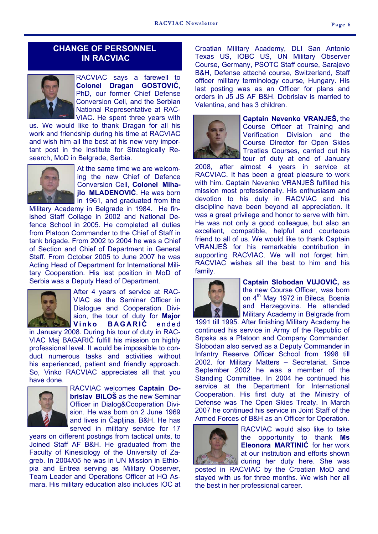# **CHANGE OF PERSONNEL IN RACVIAC**



RACVIAC says a farewell to **Colonel Dragan GOSTOVIĆ**, PhD, our former Chief Defense Conversion Cell, and the Serbian National Representative at RAC-VIAC. He spent three years with

us. We would like to thank Dragan for all his work and friendship during his time at RACVIAC and wish him all the best at his new very important post in the Institute for Strategically Research, MoD in Belgrade, Serbia.



At the same time we are welcoming the new Chief of Defence Conversion Cell, **Colonel Mihajlo MLADENOVIĆ**. He was born In 1961, and graduated from the

Military Academy in Belgrade in 1984. He finished Staff Collage in 2002 and National Defence School in 2005. He completed all duties from Platoon Commander to the Chief of Staff in tank brigade. From 2002 to 2004 he was a Chief of Section and Chief of Department in General Staff. From October 2005 to June 2007 he was Acting Head of Department for International Military Cooperation. His last position in MoD of Serbia was a Deputy Head of Department.



After 4 years of service at RAC-VIAC as the Seminar Officer in Dialogue and Cooperation Division, the tour of duty for **Major Vinko BAGARIC** ended

in January 2008. During his tour of duty in RAC-VIAC Maj BAGARIĆ fulfill his mission on highly professional level. It would be impossible to conduct numerous tasks and activities without his experienced, patient and friendly approach. So, Vinko RACVIAC appreciates all that you have done.



RACVIAC welcomes **Captain Dobrislav BILOŠ** as the new Seminar Officer in Dialog&Cooperation Division. He was born on 2 June 1969 and lives in Čapljina, B&H. He has served in military service for 17

years on different postings from tactical units, to Joined Staff AF B&H. He graduated from the Faculty of Kinesiology of the University of Zagreb. In 2004/05 he was in UN Mission in Ethiopia and Eritrea serving as Military Observer, Team Leader and Operations Officer at HQ Asmara. His military education also includes IOC at Croatian Military Academy, DLI San Antonio Texas US, IOBC US, UN Military Observer Course, Germany, PSOTC Staff course, Sarajevo B&H, Defense attaché course, Switzerland, Staff officer military terminology course, Hungary. His last posting was as an Officer for plans and orders in J5 JS AF B&H. Dobrislav is married to Valentina, and has 3 children.



**Captain Nevenko VRANJEŠ**, the Course Officer at Training and Verification Division and the Course Director for Open Skies Treaties Courses, carried out his tour of duty at end of January

2008, after almost 4 years in service at RACVIAC. It has been a great pleasure to work with him. Captain Nevenko VRANJEŠ fulfilled his mission most professionally. His enthusiasm and devotion to his duty in RACVIAC and his discipline have been beyond all appreciation. It was a great privilege and honor to serve with him. He was not only a good colleague, but also an excellent, compatible, helpful and courteous friend to all of us. We would like to thank Captain VRANJEŠ for his remarkable contribution in supporting RACVIAC. We will not forget him. RACVIAC wishes all the best to him and his family.



**Captain Slobodan VUJOVIĆ,** as the new Course Officer, was born on 4<sup>th</sup> May 1972 in Bileca, Bosnia and Herzegovina. He attended Military Academy in Belgrade from

1991 till 1995. After finishing Military Academy he continued his service in Army of the Republic of Srpska as a Platoon and Company Commander. Slobodan also served as a Deputy Commander in Infantry Reserve Officer School from 1998 till 2002. for Military Matters – Secretariat. Since September 2002 he was a member of the Standing Committee. In 2004 he continued his service at the Department for International Cooperation. His first duty at the Ministry of Defense was The Open Skies Treaty. In March 2007 he continued his service in Joint Staff of the Armed Forces of B&H as an Officer for Operation.



RACVIAC would also like to take the opportunity to thank **Ms Eleonora MARTINIĆ** for her work at our institution and efforts shown during her duty here. She was

posted in RACVIAC by the Croatian MoD and stayed with us for three months. We wish her all the best in her professional career.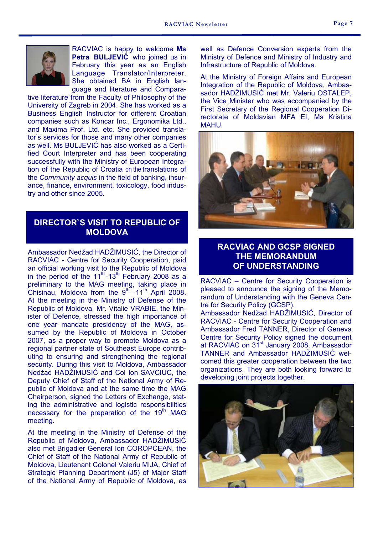

RACVIAC is happy to welcome **Ms Petra BULJEVIĆ** who joined us in February this year as an English Language Translator/Interpreter. She obtained BA in English language and literature and Compara-

tive literature from the Faculty of Philosophy of the University of Zagreb in 2004. She has worked as a Business English Instructor for different Croatian companies such as Koncar Inc., Ergonomika Ltd., and Maxima Prof. Ltd. etc. She provided translator's services for those and many other companies as well. Ms BULJEVIĆ has also worked as a Certified Court Interpreter and has been cooperating successfully with the Ministry of European Integration of the Republic of Croatia on the translations of the *Community acquis* in the field of banking, insurance, finance, environment, toxicology, food industry and other since 2005.

## **DIRECTOR`S VISIT TO REPUBLIC OF MOLDOVA**

Ambassador Nedžad HADŽIMUSIĆ, the Director of RACVIAC - Centre for Security Cooperation, paid an official working visit to the Republic of Moldova in the period of the  $11^{\text{th}}$ -13<sup>th</sup> February 2008 as a preliminary to the MAG meeting, taking place in Chisinau, Moldova from the  $9<sup>th</sup>$  -11<sup>th</sup> April 2008. At the meeting in the Ministry of Defense of the Republic of Moldova, Mr. Vitalie VRABIE, the Minister of Defence, stressed the high importance of one year mandate presidency of the MAG, assumed by the Republic of Moldova in October 2007, as a proper way to promote Moldova as a regional partner state of Southeast Europe contributing to ensuring and strengthening the regional security. During this visit to Moldova, Ambassador Nedžad HADŽIMUSIĆ and Col Ion SAVCIUC, the Deputy Chief of Staff of the National Army of Republic of Moldova and at the same time the MAG Chairperson, signed the Letters of Exchange, stating the administrative and logistic responsibilities necessary for the preparation of the 19<sup>th</sup> MAG meeting.

At the meeting in the Ministry of Defense of the Republic of Moldova, Ambassador HADŽIMUSIĆ also met Brigadier General Ion COROPCEAN, the Chief of Staff of the National Army of Republic of Moldova, Lieutenant Colonel Valeriu MIJA, Chief of Strategic Planning Department (J5) of Major Staff of the National Army of Republic of Moldova, as

well as Defence Conversion experts from the Ministry of Defence and Ministry of Industry and Infrastructure of Republic of Moldova.

At the Ministry of Foreign Affairs and European Integration of the Republic of Moldova, Ambassador HADŽIMUSIĆ met Mr. Valeriu OSTALEP, the Vice Minister who was accompanied by the First Secretary of the Regional Cooperation Directorate of Moldavian MFA EI, Ms Kristina MAHU.



# **RACVIAC AND GCSP SIGNED THE MEMORANDUM OF UNDERSTANDING**

RACVIAC – Centre for Security Cooperation is pleased to announce the signing of the Memorandum of Understanding with the Geneva Centre for Security Policy (GCSP).

Ambassador Nedžad HADŽIMUSIĆ, Director of RACVIAC - Centre for Security Cooperation and Ambassador Fred TANNER, Director of Geneva Centre for Security Policy signed the document at RACVIAC on 31<sup>st</sup> January 2008. Ambassador TANNER and Ambassador HADŽIMUSIĆ welcomed this greater cooperation between the two organizations. They are both looking forward to developing joint projects together.